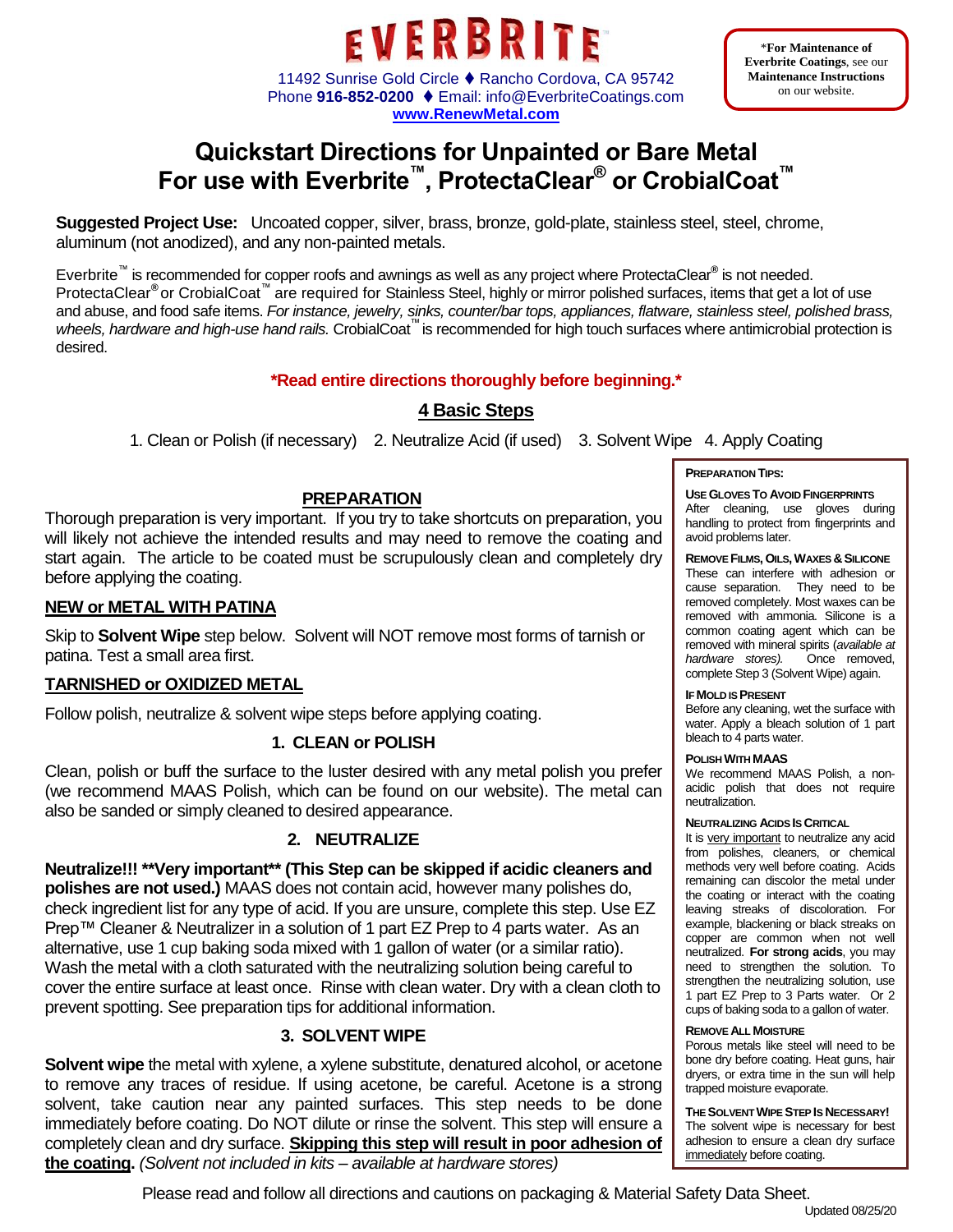

11492 Sunrise Gold Circle ♦ Rancho Cordova, CA 95742 Phone 916-852-0200 ♦ Email: info@EverbriteCoatings.com **[www.RenewMetal.com](http://www.renewmetal.com/)**

\***For Maintenance of Everbrite Coatings**, see our **Maintenance Instructions**  on our website.

# **Quickstart Directions for Unpainted or Bare Metal For use with Everbrite™, ProtectaClear® or CrobialCoat™**

**Suggested Project Use:** Uncoated copper, silver, brass, bronze, gold-plate, stainless steel, steel, chrome, aluminum (not anodized), and any non-painted metals.

Everbrite™ is recommended for copper roofs and awnings as well as any project where ProtectaClear**®** is not needed. ProtectaClear<sup>®</sup> or CrobialCoat<sup>™</sup> are required for Stainless Steel, highly or mirror polished surfaces, items that get a lot of use and abuse, and food safe items. *For instance, jewelry, sinks, counter/bar tops, appliances, flatware, stainless steel, polished brass, wheels, hardware and high-use hand rails.* CrobialCoat™ is recommended for high touch surfaces where antimicrobial protection is desired.

## **\*Read entire directions thoroughly before beginning.\***

## **4 Basic Steps**

1. Clean or Polish (if necessary) 2. Neutralize Acid (if used) 3. Solvent Wipe 4. Apply Coating

## **PREPARATION**

Thorough preparation is very important. If you try to take shortcuts on preparation, you will likely not achieve the intended results and may need to remove the coating and start again. The article to be coated must be scrupulously clean and completely dry before applying the coating.

## **NEW or METAL WITH PATINA**

Skip to **Solvent Wipe** step below. Solvent will NOT remove most forms of tarnish or patina. Test a small area first.

## **TARNISHED or OXIDIZED METAL**

Follow polish, neutralize & solvent wipe steps before applying coating.

## **1. CLEAN or POLISH**

Clean, polish or buff the surface to the luster desired with any metal polish you prefer (we recommend MAAS Polish, which can be found on our website). The metal can also be sanded or simply cleaned to desired appearance.

## **2. NEUTRALIZE**

**Neutralize!!! \*\*Very important\*\* (This Step can be skipped if acidic cleaners and polishes are not used.)** MAAS does not contain acid, however many polishes do, check ingredient list for any type of acid. If you are unsure, complete this step. Use EZ Prep™ Cleaner & Neutralizer in a solution of 1 part EZ Prep to 4 parts water. As an alternative, use 1 cup baking soda mixed with 1 gallon of water (or a similar ratio). Wash the metal with a cloth saturated with the neutralizing solution being careful to cover the entire surface at least once. Rinse with clean water. Dry with a clean cloth to prevent spotting. See preparation tips for additional information.

## **3. SOLVENT WIPE**

**Solvent wipe** the metal with xylene, a xylene substitute, denatured alcohol, or acetone to remove any traces of residue. If using acetone, be careful. Acetone is a strong solvent, take caution near any painted surfaces. This step needs to be done immediately before coating. Do NOT dilute or rinse the solvent. This step will ensure a completely clean and dry surface. **Skipping this step will result in poor adhesion of the coating.** *(Solvent not included in kits – available at hardware stores)*

**PREPARATION TIPS:**

**USE GLOVES TO AVOID FINGERPRINTS** After cleaning, use gloves during handling to protect from fingerprints and avoid problems later.

#### **REMOVE FILMS,OILS,WAXES &SILICONE**

These can interfere with adhesion or cause separation. They need to be removed completely. Most waxes can be removed with ammonia. Silicone is a common coating agent which can be removed with mineral spirits (*available at hardware stores).* Once removed, complete Step 3 (Solvent Wipe) again.

#### **IF MOLD IS PRESENT**

Before any cleaning, wet the surface with water. Apply a bleach solution of 1 part bleach to 4 parts water.

#### **POLISH WITH MAAS**

We recommend MAAS Polish, a nonacidic polish that does not require neutralization.

#### **NEUTRALIZING ACIDS IS CRITICAL**

It is very important to neutralize any acid from polishes, cleaners, or chemical methods very well before coating. Acids remaining can discolor the metal under the coating or interact with the coating leaving streaks of discoloration. For example, blackening or black streaks on copper are common when not well neutralized. **For strong acids**, you may need to strengthen the solution. To strengthen the neutralizing solution, use 1 part EZ Prep to 3 Parts water. Or 2 cups of baking soda to a gallon of water.

#### **REMOVE ALL MOISTURE**

Porous metals like steel will need to be bone dry before coating. Heat guns, hair dryers, or extra time in the sun will help trapped moisture evaporate.

**THE SOLVENT WIPE STEP IS NECESSARY!** The solvent wipe is necessary for best adhesion to ensure a clean dry surface immediately before coating.

Please read and follow all directions and cautions on packaging & Material Safety Data Sheet.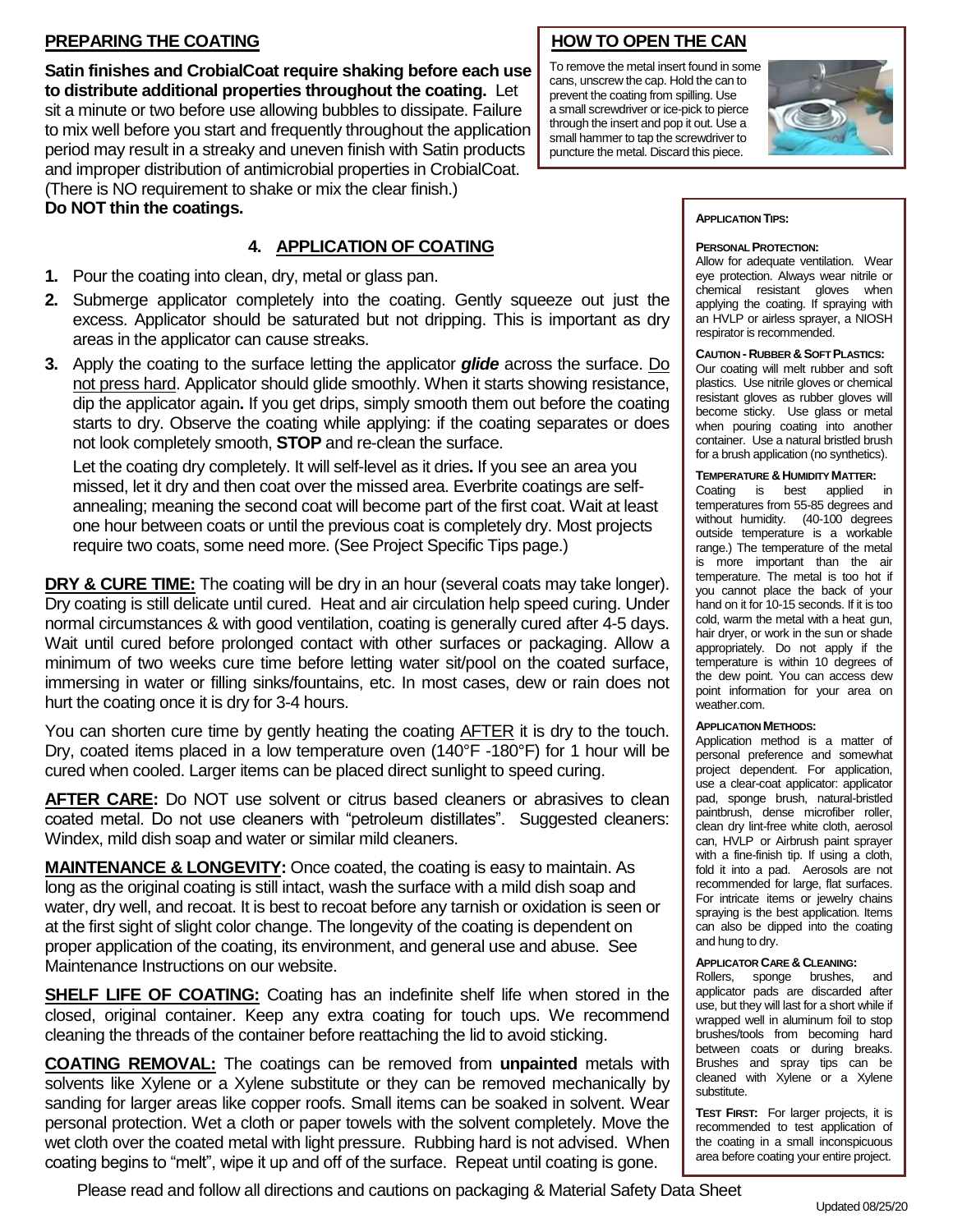## **PREPARING THE COATING HOW TO OPEN THE CAN**

**Satin finishes and CrobialCoat require shaking before each use to distribute additional properties throughout the coating.** Let sit a minute or two before use allowing bubbles to dissipate. Failure to mix well before you start and frequently throughout the application period may result in a streaky and uneven finish with Satin products and improper distribution of antimicrobial properties in CrobialCoat. (There is NO requirement to shake or mix the clear finish.) **Do NOT thin the coatings.** 

## **4. APPLICATION OF COATING**

- **1.** Pour the coating into clean, dry, metal or glass pan.
- **2.** Submerge applicator completely into the coating. Gently squeeze out just the excess. Applicator should be saturated but not dripping. This is important as dry areas in the applicator can cause streaks.
- **3.** Apply the coating to the surface letting the applicator *glide* across the surface. Do not press hard. Applicator should glide smoothly. When it starts showing resistance, dip the applicator again**.** If you get drips, simply smooth them out before the coating starts to dry. Observe the coating while applying: if the coating separates or does not look completely smooth, **STOP** and re-clean the surface.

Let the coating dry completely. It will self-level as it dries**.** If you see an area you missed, let it dry and then coat over the missed area. Everbrite coatings are selfannealing; meaning the second coat will become part of the first coat. Wait at least one hour between coats or until the previous coat is completely dry. Most projects require two coats, some need more. (See Project Specific Tips page.)

**DRY & CURE TIME:** The coating will be dry in an hour (several coats may take longer). Dry coating is still delicate until cured. Heat and air circulation help speed curing. Under normal circumstances & with good ventilation, coating is generally cured after 4-5 days. Wait until cured before prolonged contact with other surfaces or packaging. Allow a minimum of two weeks cure time before letting water sit/pool on the coated surface, immersing in water or filling sinks/fountains, etc. In most cases, dew or rain does not hurt the coating once it is dry for 3-4 hours.

You can shorten cure time by gently heating the coating **AFTER** it is dry to the touch. Dry, coated items placed in a low temperature oven (140°F -180°F) for 1 hour will be cured when cooled. Larger items can be placed direct sunlight to speed curing.

**AFTER CARE:** Do NOT use solvent or citrus based cleaners or abrasives to clean coated metal. Do not use cleaners with "petroleum distillates". Suggested cleaners: Windex, mild dish soap and water or similar mild cleaners.

**MAINTENANCE & LONGEVITY:** Once coated, the coating is easy to maintain. As long as the original coating is still intact, wash the surface with a mild dish soap and water, dry well, and recoat. It is best to recoat before any tarnish or oxidation is seen or at the first sight of slight color change. The longevity of the coating is dependent on proper application of the coating, its environment, and general use and abuse. See Maintenance Instructions on our website.

**SHELF LIFE OF COATING:** Coating has an indefinite shelf life when stored in the closed, original container. Keep any extra coating for touch ups. We recommend cleaning the threads of the container before reattaching the lid to avoid sticking.

**COATING REMOVAL:** The coatings can be removed from **unpainted** metals with solvents like Xylene or a Xylene substitute or they can be removed mechanically by sanding for larger areas like copper roofs. Small items can be soaked in solvent. Wear personal protection. Wet a cloth or paper towels with the solvent completely. Move the wet cloth over the coated metal with light pressure. Rubbing hard is not advised. When coating begins to "melt", wipe it up and off of the surface. Repeat until coating is gone.

To remove the metal insert found in some cans, unscrew the cap. Hold the can to prevent the coating from spilling. Use a small screwdriver or ice-pick to pierce through the insert and pop it out. Use a small hammer to tap the screwdriver to puncture the metal. Discard this piece.



#### **APPLICATION TIPS:**

#### **PERSONAL PROTECTION:**

Allow for adequate ventilation. Wear eye protection. Always wear nitrile or chemical resistant gloves when applying the coating. If spraying with an HVLP or airless sprayer, a NIOSH respirator is recommended.

#### **CAUTION - RUBBER &SOFT PLASTICS:**

Our coating will melt rubber and soft plastics. Use nitrile gloves or chemical resistant gloves as rubber gloves will become sticky. Use glass or metal when pouring coating into another container. Use a natural bristled brush for a brush application (no synthetics).

#### **TEMPERATURE &HUMIDITY MATTER:**

Coating is best applied in temperatures from 55-85 degrees and without humidity. (40-100 degrees outside temperature is a workable range.) The temperature of the metal is more important than the air temperature. The metal is too hot if you cannot place the back of your hand on it for 10-15 seconds. If it is too cold, warm the metal with a heat gun, hair dryer, or work in the sun or shade appropriately. Do not apply if the temperature is within 10 degrees of the dew point. You can access dew point information for your area on weather.com.

#### **APPLICATION METHODS:**

Application method is a matter of personal preference and somewhat project dependent. For application, use a clear-coat applicator: applicator pad, sponge brush, natural-bristled paintbrush, dense microfiber roller, clean dry lint-free white cloth, aerosol can, HVLP or Airbrush paint sprayer with a fine-finish tip. If using a cloth, fold it into a pad. Aerosols are not recommended for large, flat surfaces. For intricate items or jewelry chains spraying is the best application. Items can also be dipped into the coating and hung to dry.

#### **APPLICATOR CARE & CLEANING:**

Rollers, sponge brushes, and applicator pads are discarded after use, but they will last for a short while if wrapped well in aluminum foil to stop brushes/tools from becoming hard between coats or during breaks. Brushes and spray tips can be cleaned with Xylene or a Xylene substitute.

**TEST FIRST:** For larger projects, it is recommended to test application of the coating in a small inconspicuous area before coating your entire project.

Please read and follow all directions and cautions on packaging & Material Safety Data Sheet